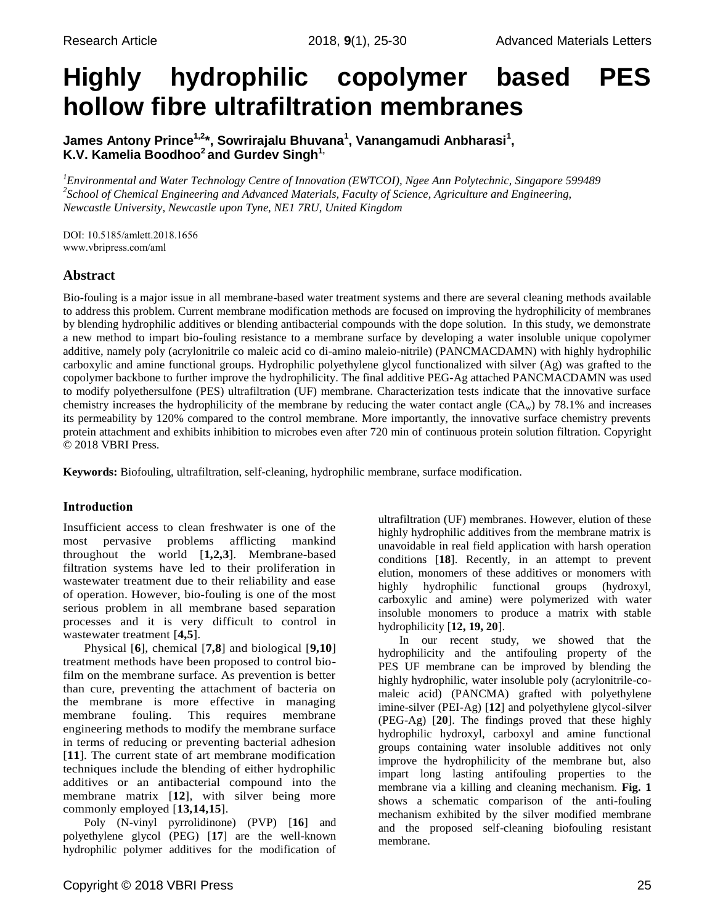# **Highly hydrophilic copolymer based PES hollow fibre ultrafiltration membranes**

**James Antony Prince1,2\*, Sowrirajalu Bhuvana<sup>1</sup> , Vanangamudi Anbharasi<sup>1</sup> , K.V. Kamelia Boodhoo<sup>2</sup>and Gurdev Singh 1,** 

*<sup>1</sup>Environmental and Water Technology Centre of Innovation (EWTCOI), Ngee Ann Polytechnic, Singapore 599489 2 School of Chemical Engineering and Advanced Materials, Faculty of Science, Agriculture and Engineering, Newcastle University, Newcastle upon Tyne, NE1 7RU, United Kingdom*

DOI: 10.5185/amlett.2018.1656 www.vbripress.com/aml

# **Abstract**

Bio-fouling is a major issue in all membrane-based water treatment systems and there are several cleaning methods available to address this problem. Current membrane modification methods are focused on improving the hydrophilicity of membranes by blending hydrophilic additives or blending antibacterial compounds with the dope solution. In this study, we demonstrate a new method to impart bio-fouling resistance to a membrane surface by developing a water insoluble unique copolymer additive, namely poly (acrylonitrile co maleic acid co di-amino maleio-nitrile) (PANCMACDAMN) with highly hydrophilic carboxylic and amine functional groups. Hydrophilic polyethylene glycol functionalized with silver (Ag) was grafted to the copolymer backbone to further improve the hydrophilicity. The final additive PEG-Ag attached PANCMACDAMN was used to modify polyethersulfone (PES) ultrafiltration (UF) membrane. Characterization tests indicate that the innovative surface chemistry increases the hydrophilicity of the membrane by reducing the water contact angle  $(CA_w)$  by 78.1% and increases its permeability by 120% compared to the control membrane. More importantly, the innovative surface chemistry prevents protein attachment and exhibits inhibition to microbes even after 720 min of continuous protein solution filtration. Copyright © 2018 VBRI Press.

**Keywords:** Biofouling, ultrafiltration, self-cleaning, hydrophilic membrane, surface modification.

# **Introduction**

Insufficient access to clean freshwater is one of the most pervasive problems afflicting mankind throughout the world [**1,2,3**]. Membrane-based filtration systems have led to their proliferation in wastewater treatment due to their reliability and ease of operation. However, bio-fouling is one of the most serious problem in all membrane based separation processes and it is very difficult to control in wastewater treatment [**4,5**].

Physical [**6**], chemical [**7,8**] and biological [**9,10**] treatment methods have been proposed to control biofilm on the membrane surface. As prevention is better than cure, preventing the attachment of bacteria on the membrane is more effective in managing membrane fouling. This requires membrane engineering methods to modify the membrane surface in terms of reducing or preventing bacterial adhesion [**11**]. The current state of art membrane modification techniques include the blending of either hydrophilic additives or an antibacterial compound into the membrane matrix [**12**], with silver being more commonly employed [**13,14,15**].

Poly (N-vinyl pyrrolidinone) (PVP) [**16**] and polyethylene glycol (PEG) [**17**] are the well-known hydrophilic polymer additives for the modification of ultrafiltration (UF) membranes. However, elution of these highly hydrophilic additives from the membrane matrix is unavoidable in real field application with harsh operation conditions [**18**]. Recently, in an attempt to prevent elution, monomers of these additives or monomers with highly hydrophilic functional groups (hydroxyl, carboxylic and amine) were polymerized with water insoluble monomers to produce a matrix with stable hydrophilicity [**12, 19, 20**].

In our recent study, we showed that the hydrophilicity and the antifouling property of the PES UF membrane can be improved by blending the highly hydrophilic, water insoluble poly (acrylonitrile-comaleic acid) (PANCMA) grafted with polyethylene imine-silver (PEI-Ag) [**12**] and polyethylene glycol-silver (PEG-Ag) [**20**]. The findings proved that these highly hydrophilic hydroxyl, carboxyl and amine functional groups containing water insoluble additives not only improve the hydrophilicity of the membrane but, also impart long lasting antifouling properties to the membrane via a killing and cleaning mechanism. **Fig. 1** shows a schematic comparison of the anti-fouling mechanism exhibited by the silver modified membrane and the proposed self-cleaning biofouling resistant membrane.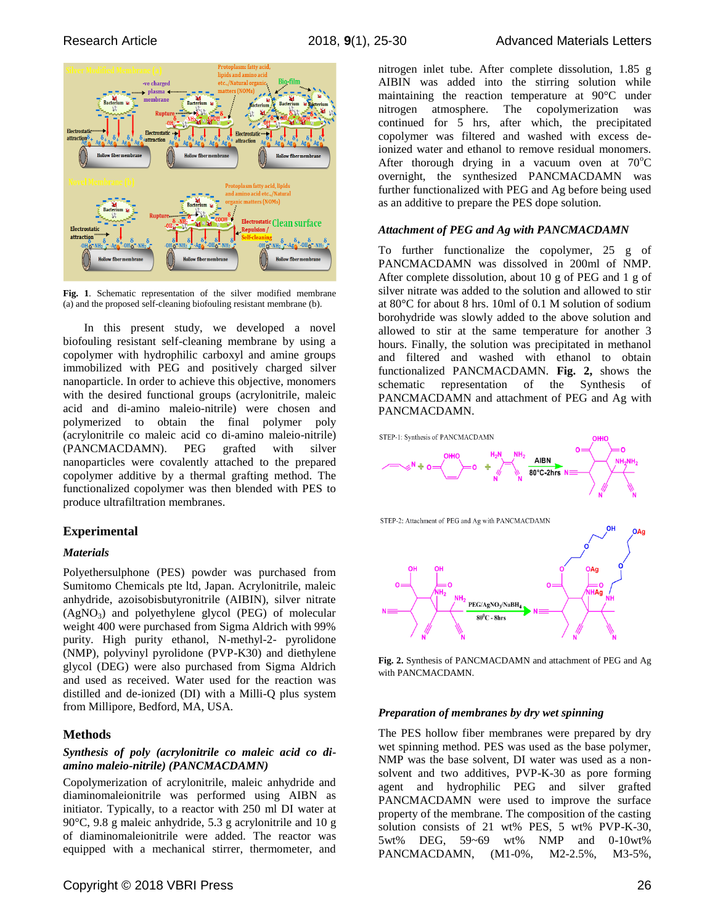

**Fig. 1**. Schematic representation of the silver modified membrane (a) and the proposed self-cleaning biofouling resistant membrane (b).

In this present study, we developed a novel biofouling resistant self-cleaning membrane by using a copolymer with hydrophilic carboxyl and amine groups immobilized with PEG and positively charged silver nanoparticle. In order to achieve this objective, monomers with the desired functional groups (acrylonitrile, maleic acid and di-amino maleio-nitrile) were chosen and polymerized to obtain the final polymer poly (acrylonitrile co maleic acid co di-amino maleio-nitrile) (PANCMACDAMN). PEG grafted with silver nanoparticles were covalently attached to the prepared copolymer additive by a thermal grafting method. The functionalized copolymer was then blended with PES to produce ultrafiltration membranes.

## **Experimental**

## *Materials*

Polyethersulphone (PES) powder was purchased from Sumitomo Chemicals pte ltd, Japan. Acrylonitrile, maleic anhydride, azoisobisbutyronitrile (AIBIN), silver nitrate  $(AgNO<sub>3</sub>)$  and polyethylene glycol (PEG) of molecular weight 400 were purchased from Sigma Aldrich with 99% purity. High purity ethanol, N-methyl-2- pyrolidone (NMP), polyvinyl pyrolidone (PVP-K30) and diethylene glycol (DEG) were also purchased from Sigma Aldrich and used as received. Water used for the reaction was distilled and de-ionized (DI) with a Milli-Q plus system from Millipore, Bedford, MA, USA.

## **Methods**

#### *Synthesis of poly (acrylonitrile co maleic acid co diamino maleio-nitrile) (PANCMACDAMN)*

Copolymerization of acrylonitrile, maleic anhydride and diaminomaleionitrile was performed using AIBN as initiator. Typically, to a reactor with 250 ml DI water at 90°C, 9.8 g maleic anhydride, 5.3 g acrylonitrile and 10 g of diaminomaleionitrile were added. The reactor was equipped with a mechanical stirrer, thermometer, and nitrogen inlet tube. After complete dissolution, 1.85 g AIBIN was added into the stirring solution while maintaining the reaction temperature at 90°C under nitrogen atmosphere. The copolymerization was continued for 5 hrs, after which, the precipitated copolymer was filtered and washed with excess deionized water and ethanol to remove residual monomers. After thorough drying in a vacuum oven at  $70^{\circ}$ C overnight, the synthesized PANCMACDAMN was further functionalized with PEG and Ag before being used as an additive to prepare the PES dope solution.

# *Attachment of PEG and Ag with PANCMACDAMN*

To further functionalize the copolymer, 25 g of PANCMACDAMN was dissolved in 200ml of NMP. After complete dissolution, about 10 g of PEG and 1 g of silver nitrate was added to the solution and allowed to stir at 80°C for about 8 hrs. 10ml of 0.1 M solution of sodium borohydride was slowly added to the above solution and allowed to stir at the same temperature for another 3 hours. Finally, the solution was precipitated in methanol and filtered and washed with ethanol to obtain functionalized PANCMACDAMN. **Fig. 2,** shows the schematic representation of the Synthesis of PANCMACDAMN and attachment of PEG and Ag with PANCMACDAMN.



**Fig. 2.** Synthesis of PANCMACDAMN and attachment of PEG and Ag with PANCMACDAMN.

#### *Preparation of membranes by dry wet spinning*

The PES hollow fiber membranes were prepared by dry wet spinning method. PES was used as the base polymer, NMP was the base solvent, DI water was used as a nonsolvent and two additives, PVP-K-30 as pore forming agent and hydrophilic PEG and silver grafted PANCMACDAMN were used to improve the surface property of the membrane. The composition of the casting solution consists of 21 wt% PES, 5 wt% PVP-K-30, 5wt% DEG, 59~69 wt% NMP and 0-10wt% PANCMACDAMN, (M1-0%, M2-2.5%, M3-5%,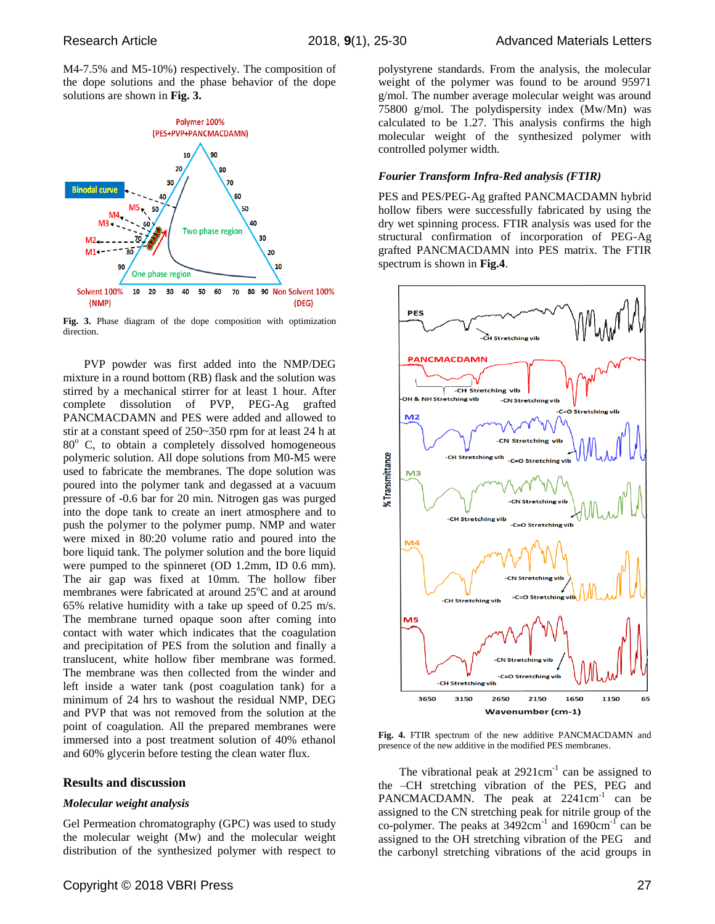M4-7.5% and M5-10%) respectively. The composition of the dope solutions and the phase behavior of the dope solutions are shown in **Fig. 3.**



**Fig. 3.** Phase diagram of the dope composition with optimization direction.

PVP powder was first added into the NMP/DEG mixture in a round bottom (RB) flask and the solution was stirred by a mechanical stirrer for at least 1 hour. After complete dissolution of PVP, PEG-Ag grafted PANCMACDAMN and PES were added and allowed to stir at a constant speed of 250~350 rpm for at least 24 h at  $80^\circ$  C, to obtain a completely dissolved homogeneous polymeric solution. All dope solutions from M0-M5 were used to fabricate the membranes. The dope solution was poured into the polymer tank and degassed at a vacuum pressure of -0.6 bar for 20 min. Nitrogen gas was purged into the dope tank to create an inert atmosphere and to push the polymer to the polymer pump. NMP and water were mixed in 80:20 volume ratio and poured into the bore liquid tank. The polymer solution and the bore liquid were pumped to the spinneret (OD 1.2mm, ID 0.6 mm). The air gap was fixed at 10mm. The hollow fiber membranes were fabricated at around  $25^{\circ}$ C and at around 65% relative humidity with a take up speed of 0.25 m/s. The membrane turned opaque soon after coming into contact with water which indicates that the coagulation and precipitation of PES from the solution and finally a translucent, white hollow fiber membrane was formed. The membrane was then collected from the winder and left inside a water tank (post coagulation tank) for a minimum of 24 hrs to washout the residual NMP, DEG and PVP that was not removed from the solution at the point of coagulation. All the prepared membranes were immersed into a post treatment solution of 40% ethanol and 60% glycerin before testing the clean water flux.

#### **Results and discussion**

#### *Molecular weight analysis*

Gel Permeation chromatography (GPC) was used to study the molecular weight (Mw) and the molecular weight distribution of the synthesized polymer with respect to polystyrene standards. From the analysis, the molecular weight of the polymer was found to be around 95971 g/mol. The number average molecular weight was around 75800 g/mol. The polydispersity index (Mw/Mn) was calculated to be 1.27. This analysis confirms the high molecular weight of the synthesized polymer with controlled polymer width.

#### *Fourier Transform Infra-Red analysis (FTIR)*

PES and PES/PEG-Ag grafted PANCMACDAMN hybrid hollow fibers were successfully fabricated by using the dry wet spinning process. FTIR analysis was used for the structural confirmation of incorporation of PEG-Ag grafted PANCMACDAMN into PES matrix. The FTIR spectrum is shown in **Fig.4**.



**Fig. 4.** FTIR spectrum of the new additive PANCMACDAMN and presence of the new additive in the modified PES membranes.

The vibrational peak at  $2921 \text{cm}^{-1}$  can be assigned to the –CH stretching vibration of the PES, PEG and PANCMACDAMN. The peak at  $2241 \text{cm}^{-1}$  can be assigned to the CN stretching peak for nitrile group of the co-polymer. The peaks at  $3492 \text{cm}^{-1}$  and  $1690 \text{cm}^{-1}$  can be assigned to the OH stretching vibration of the PEG and the carbonyl stretching vibrations of the acid groups in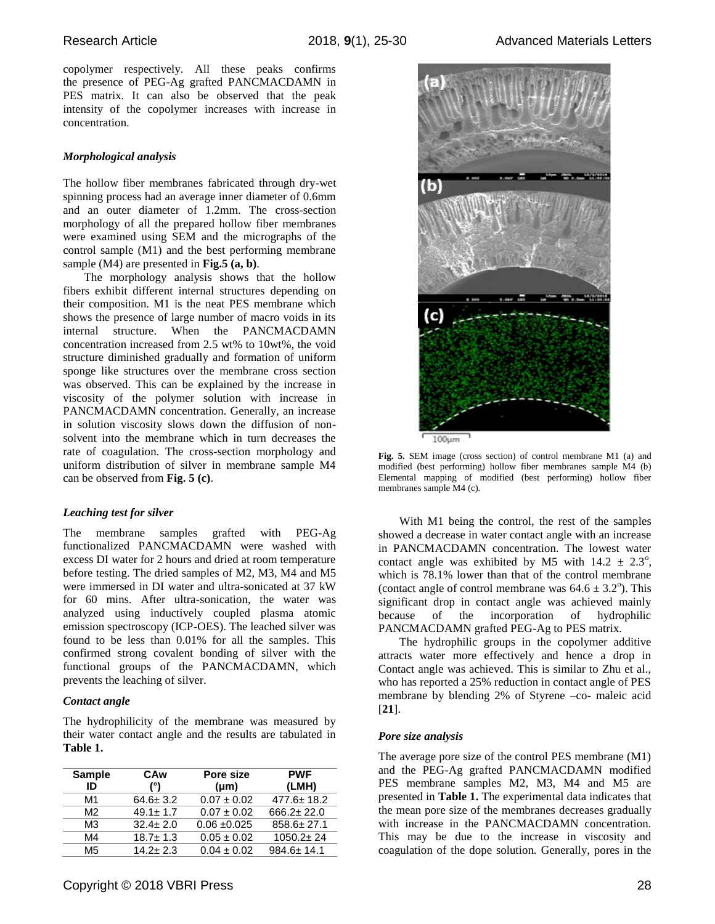copolymer respectively. All these peaks confirms the presence of PEG-Ag grafted PANCMACDAMN in PES matrix. It can also be observed that the peak intensity of the copolymer increases with increase in concentration.

## *Morphological analysis*

The hollow fiber membranes fabricated through dry-wet spinning process had an average inner diameter of 0.6mm and an outer diameter of 1.2mm. The cross-section morphology of all the prepared hollow fiber membranes were examined using SEM and the micrographs of the control sample (M1) and the best performing membrane sample (M4) are presented in **Fig.5 (a, b)**.

The morphology analysis shows that the hollow fibers exhibit different internal structures depending on their composition. M1 is the neat PES membrane which shows the presence of large number of macro voids in its internal structure. When the PANCMACDAMN concentration increased from 2.5 wt% to 10wt%, the void structure diminished gradually and formation of uniform sponge like structures over the membrane cross section was observed. This can be explained by the increase in viscosity of the polymer solution with increase in PANCMACDAMN concentration. Generally, an increase in solution viscosity slows down the diffusion of nonsolvent into the membrane which in turn decreases the rate of coagulation. The cross-section morphology and uniform distribution of silver in membrane sample M4 can be observed from **Fig. 5 (c)**.

## *Leaching test for silver*

The membrane samples grafted with PEG-Ag functionalized PANCMACDAMN were washed with excess DI water for 2 hours and dried at room temperature before testing. The dried samples of M2, M3, M4 and M5 were immersed in DI water and ultra-sonicated at 37 kW for 60 mins. After ultra-sonication, the water was analyzed using inductively coupled plasma atomic emission spectroscopy (ICP-OES). The leached silver was found to be less than 0.01% for all the samples. This confirmed strong covalent bonding of silver with the functional groups of the PANCMACDAMN, which prevents the leaching of silver.

## *Contact angle*

The hydrophilicity of the membrane was measured by their water contact angle and the results are tabulated in **Table 1.**

| <b>Sample</b><br>ID | CAw<br>(°)     | Pore size<br>$(\mu m)$ | <b>PWF</b><br>(LMH) |
|---------------------|----------------|------------------------|---------------------|
| M1                  | $64.6 \pm 3.2$ | $0.07 \pm 0.02$        | $477.6 \pm 18.2$    |
| M <sup>2</sup>      | $49.1 \pm 1.7$ | $0.07 \pm 0.02$        | $666.2 \pm 22.0$    |
| M3                  | $32.4 \pm 2.0$ | $0.06 \pm 0.025$       | $858.6 \pm 27.1$    |
| M4                  | $18.7 \pm 1.3$ | $0.05 \pm 0.02$        | $1050.2 \pm 24$     |
| M <sub>5</sub>      | $14.2 + 2.3$   | $0.04 \pm 0.02$        | $984.6 \pm 14.1$    |



**Fig. 5.** SEM image (cross section) of control membrane M1 (a) and modified (best performing) hollow fiber membranes sample M4 (b) Elemental mapping of modified (best performing) hollow fiber membranes sample M4 (c).

With M1 being the control, the rest of the samples showed a decrease in water contact angle with an increase in PANCMACDAMN concentration. The lowest water contact angle was exhibited by M5 with  $14.2 \pm 2.3^{\circ}$ , which is 78.1% lower than that of the control membrane (contact angle of control membrane was  $64.6 \pm 3.2^{\circ}$ ). This significant drop in contact angle was achieved mainly because of the incorporation of hydrophilic PANCMACDAMN grafted PEG-Ag to PES matrix.

The hydrophilic groups in the copolymer additive attracts water more effectively and hence a drop in Contact angle was achieved. This is similar to Zhu et al., who has reported a 25% reduction in contact angle of PES membrane by blending 2% of Styrene –co- maleic acid [**21**].

## *Pore size analysis*

The average pore size of the control PES membrane (M1) and the PEG-Ag grafted PANCMACDAMN modified PES membrane samples M2, M3, M4 and M5 are presented in **Table 1.** The experimental data indicates that the mean pore size of the membranes decreases gradually with increase in the PANCMACDAMN concentration. This may be due to the increase in viscosity and coagulation of the dope solution. Generally, pores in the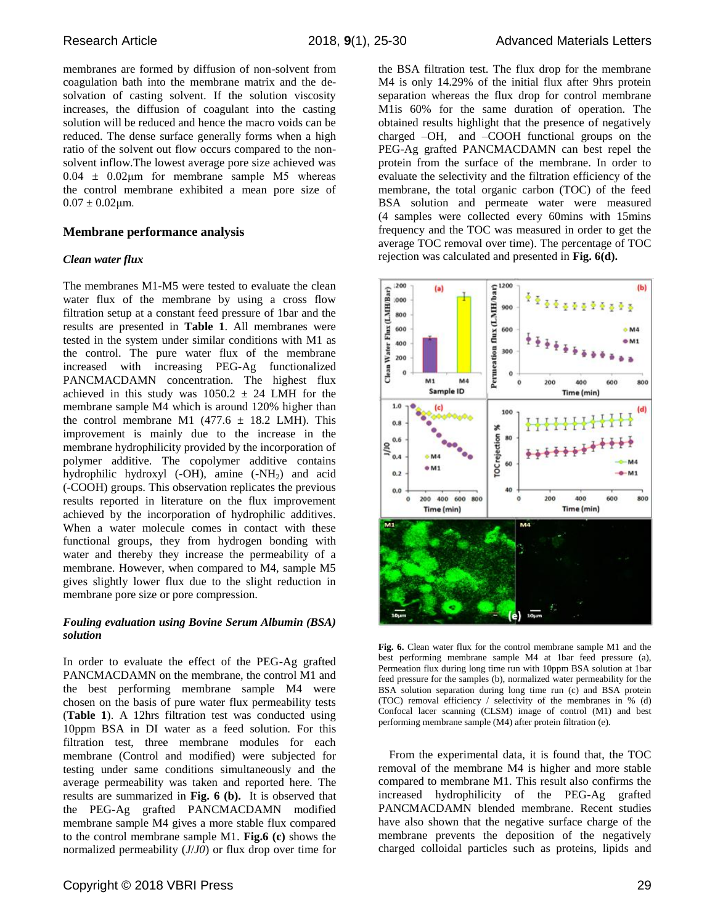membranes are formed by diffusion of non-solvent from coagulation bath into the membrane matrix and the desolvation of casting solvent. If the solution viscosity increases, the diffusion of coagulant into the casting solution will be reduced and hence the macro voids can be reduced. The dense surface generally forms when a high ratio of the solvent out flow occurs compared to the nonsolvent inflow.The lowest average pore size achieved was  $0.04 \pm 0.02 \mu m$  for membrane sample M5 whereas the control membrane exhibited a mean pore size of  $0.07 \pm 0.02 \mu m$ .

## **Membrane performance analysis**

## *Clean water flux*

The membranes M1-M5 were tested to evaluate the clean water flux of the membrane by using a cross flow filtration setup at a constant feed pressure of 1bar and the results are presented in **Table 1**. All membranes were tested in the system under similar conditions with M1 as the control. The pure water flux of the membrane increased with increasing PEG-Ag functionalized PANCMACDAMN concentration. The highest flux achieved in this study was  $1050.2 \pm 24$  LMH for the membrane sample M4 which is around 120% higher than the control membrane M1 (477.6  $\pm$  18.2 LMH). This improvement is mainly due to the increase in the membrane hydrophilicity provided by the incorporation of polymer additive. The copolymer additive contains hydrophilic hydroxyl (-OH), amine (-NH<sub>2</sub>) and acid (-COOH) groups. This observation replicates the previous results reported in literature on the flux improvement achieved by the incorporation of hydrophilic additives. When a water molecule comes in contact with these functional groups, they from hydrogen bonding with water and thereby they increase the permeability of a membrane. However, when compared to M4, sample M5 gives slightly lower flux due to the slight reduction in membrane pore size or pore compression.

## *Fouling evaluation using Bovine Serum Albumin (BSA) solution*

In order to evaluate the effect of the PEG-Ag grafted PANCMACDAMN on the membrane, the control M1 and the best performing membrane sample M4 were chosen on the basis of pure water flux permeability tests (**Table 1**). A 12hrs filtration test was conducted using 10ppm BSA in DI water as a feed solution. For this filtration test, three membrane modules for each membrane (Control and modified) were subjected for testing under same conditions simultaneously and the average permeability was taken and reported here. The results are summarized in **Fig. 6 (b).** It is observed that the PEG-Ag grafted PANCMACDAMN modified membrane sample M4 gives a more stable flux compared to the control membrane sample M1. **Fig.6 (c)** shows the normalized permeability (*J*/*J0*) or flux drop over time for the BSA filtration test. The flux drop for the membrane M4 is only 14.29% of the initial flux after 9hrs protein separation whereas the flux drop for control membrane M1is 60% for the same duration of operation. The obtained results highlight that the presence of negatively charged –OH, and –COOH functional groups on the PEG-Ag grafted PANCMACDAMN can best repel the protein from the surface of the membrane. In order to evaluate the selectivity and the filtration efficiency of the membrane, the total organic carbon (TOC) of the feed BSA solution and permeate water were measured (4 samples were collected every 60mins with 15mins frequency and the TOC was measured in order to get the average TOC removal over time). The percentage of TOC rejection was calculated and presented in **Fig. 6(d).**



Fig. 6. Clean water flux for the control membrane sample M1 and the best performing membrane sample M4 at 1bar feed pressure (a), Permeation flux during long time run with 10ppm BSA solution at 1bar feed pressure for the samples (b), normalized water permeability for the BSA solution separation during long time run (c) and BSA protein (TOC) removal efficiency / selectivity of the membranes in % (d) Confocal lacer scanning (CLSM) image of control (M1) and best performing membrane sample (M4) after protein filtration (e).

From the experimental data, it is found that, the TOC removal of the membrane M4 is higher and more stable compared to membrane M1. This result also confirms the increased hydrophilicity of the PEG-Ag grafted PANCMACDAMN blended membrane. Recent studies have also shown that the negative surface charge of the membrane prevents the deposition of the negatively charged colloidal particles such as proteins, lipids and